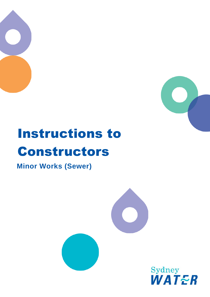



# Instructions to Constructors

**Minor Works (Sewer)**



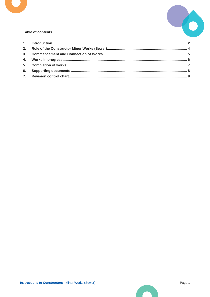



#### **Table of contents**

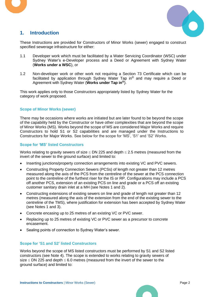



## <span id="page-2-0"></span>**1. Introduction**

These Instructions are provided for Constructors of Minor Works (sewer) engaged to construct specified sewerage infrastructure for either:

- 1.1 Developer work which must be facilitated by a Water Servicing Coordinator (WSC) under Sydney Water's e-Developer process and a Deed or Agreement with Sydney Water (**Works under a WSC**), or
- 1.2 Non-developer work or other work not requiring a Section 73 Certificate which can be facilitated by application through Sydney Water Tap in® and may require a Deed or Agreement with Sydney Water (**Works under Tap in®**).

This work applies only to those Constructors appropriately listed by Sydney Water for the category of work proposed.

#### **Scope of Minor Works (sewer)**

There may be occasions where works are initiated but are later found to be beyond the scope of the capability held by the Constructor or have other complexities that are beyond the scope of Minor Works (MS). Works beyond the scope of MS are considered Major Works and require Constructors to hold S1 or S2 capabilities and are managed under the Instructions to Constructors for Major Works. See below for the scope for 'MS', 'S1' and 'S2' Works.

#### **Scope for 'MS' listed Constructors**

Works relating to gravity sewers of size  $\leq$  DN 225 and depth  $\leq$  2.5 metres (measured from the invert of the sewer to the ground surface) and limited to:

- Inserting junctions/property connection arrangements into existing VC and PVC sewers.
- Constructing Property Connection Sewers (PCSs) of length not greater than 12 metres measured along the axis of the PCS from the centreline of the sewer at the PCS connection point to the centreline of the furthest riser for the IS or RP. Configurations may include a PCS off another PCS, extension of an existing PCS on line and grade or a PCS off an existing customer sanitary drain inlet at a MH (see Notes 1 and 2).
- Constructing extensions of existing sewers on line and grade of length not greater than 12 metres (measured along the axis of the extension from the end of the existing sewer to the centreline of the TMS), where justification for extension has been accepted by Sydney Water (see Notes 1 and 3).
- Concrete encasing up to 25 metres of an existing VC or PVC sewer.
- Replacing up to 25 metres of existing VC or PVC sewer as a precursor to concrete encasement.
- Sealing points of connection to Sydney Water's sewer.

#### **Scope for 'S1 and S2' listed Constructors**

Works beyond the scope of MS listed constructors must be performed by S1 and S2 listed constructors (see Note 4). The scope is extended to works relating to gravity sewers of size  $\leq$  DN 225 and depth  $\leq$  6.0 metres (measured from the invert of the sewer to the ground surface) and limited to: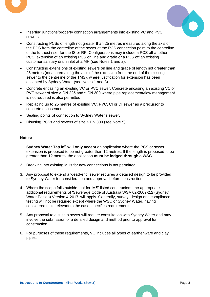

- Inserting junctions/property connection arrangements into existing VC and PVC sewers.
- Constructing PCSs of length not greater than 25 metres measured along the axis of the PCS from the centreline of the sewer at the PCS connection point to the centreline of the furthest riser for the IS or RP. Configurations may include a PCS off another PCS, extension of an existing PCS on line and grade or a PCS off an existing customer sanitary drain inlet at a MH (see Notes 1 and 2).
- Constructing extensions of existing sewers on line and grade of length not greater than 25 metres (measured along the axis of the extension from the end of the existing sewer to the centreline of the TMS), where justification for extension has been accepted by Sydney Water (see Notes 1 and 3).
- Concrete encasing an existing VC or PVC sewer. Concrete encasing an existing VC or PVC sewer of size > DN 225 and ≤ DN 300 where pipe replacement/flow management is not required is also permitted.
- Replacing up to 25 metres of existing VC, PVC, CI or DI sewer as a precursor to concrete encasement.
- Sealing points of connection to Sydney Water's sewer.
- Disusing PCSs and sewers of size  $\leq$  DN 300 (see Note 5).

#### **Notes:**

- 1. **Sydney Water Tap in® will only accept** an application where the PCS or sewer extension is proposed to be not greater than 12 metres**.** If the length is proposed to be greater than 12 metres, the application **must be lodged through a WSC**.
- 2. Breaking into existing MHs for new connections is not permitted.
- 3. Any proposal to extend a 'dead-end' sewer requires a detailed design to be provided to Sydney Water for consideration and approval before construction.
- 4. Where the scope falls outside that for 'MS' listed constructors, the appropriate additional requirements of 'Sewerage Code of Australia WSA 02-2002-2.2 (Sydney Water Edition) Version 4-2017' will apply. Generally, survey, design and compliance testing will not be required except where the WSC or Sydney Water, having considered risks relevant to the case, specifies requirements.
- 5. Any proposal to disuse a sewer will require consultation with Sydney Water and may involve the submission of a detailed design and method prior to approval for construction.
- 6. For purposes of these requirements, VC includes all types of earthenware and clay pipes.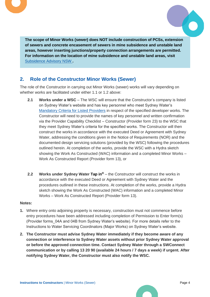



**The scope of Minor Works (sewer) does NOT include construction of PCSs, extension of sewers and concrete encasement of sewers in mine subsidence and unstable land areas, however inserting junctions/property connection arrangements are permitted. For information on the location of mine subsidence and unstable land areas, visit** [Subsidence Advisory NSW](https://www.subsidenceadvisory.nsw.gov.au/) **.**

## <span id="page-4-0"></span>**2. Role of the Constructor Minor Works (Sewer)**

The role of the Constructor in carrying out Minor Works (sewer) works will vary depending on whether works are facilitated under either 1.1 or 1.2 above:

- **2.1 Works under a WSC** The WSC will ensure that the Constructor's company is listed on Sydney Water's website and has key personnel who meet Sydney Water's [Mandatory Criteria for Listed Providers](https://www.sydneywater.com.au/plumbing-building-developing/provider-information/maintain-your-listing.html.html) in respect of the specified developer works. The Constructor will need to provide the names of key personnel and written confirmation via the Provider Capability Checklist – Constructor (Provider form 23) to the WSC that they meet Sydney Water's criteria for the specified works. The Constructor will then construct the works in accordance with the executed Deed or Agreement with Sydney Water, addressing the conditions given in the Notice of Requirements (NOR) and the documented design servicing solutions (provided by the WSC) following the procedures outlined herein. At completion of the works, provide the WSC with a Hydra sketch showing the Work As Constructed (WAC) information and a completed Minor Works – Work As Constructed Report (Provider form 13), or
- **2.2 Works under Sydney Water Tap in**<sup>®</sup> the Constructor will construct the works in accordance with the executed Deed or Agreement with Sydney Water and the procedures outlined in these instructions. At completion of the works, provide a Hydra sketch showing the Work As Constructed (WAC) information and a completed Minor Works – Work As Constructed Report (Provider form 13).

#### **Notes:**

- **1.** Where entry onto adjoining property is necessary, construction must not commence before entry procedures have been addressed including completion of Permission to Enter form(s) (Provider forms\_04A and 04B from Sydney Water's website). For more details refer to the Instructions to Water Servicing Coordinators (Major Works) on Sydney Water's website.
- **2. The Constructor must advise Sydney Water immediately if they become aware of any connection or interference to Sydney Water assets without prior Sydney Water approval or before the approved connection time. Contact Sydney Water through a SWConnect communication or by calling 13 20 90 (available 24 hours / 7 days a week) if urgent. After notifying Sydney Water, the Constructor must also notify the WSC.**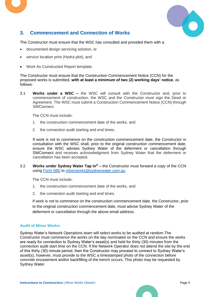

## <span id="page-5-0"></span>**3. Commencement and Connection of Works**

The Constructor must ensure that the WSC has consulted and provided them with a:

- documented design servicing solution, or
- service location print (Hydra plot), and
- Work As Constructed Report template.

The Constructor must ensure that the Construction Commencement Notice (CCN) for the proposed works is submitted, **with at least a minimum of two (2) working days' notice**, as follows:

3.1 **Works under a WSC –** the WSC will consult with the Constructor and, prior to commencement of construction, the WSC and the Constructor must sign the Deed or Agreement. The WSC must submit a Construction Commencement Notice (CCN) through SWConnect.

The CCN must include:

- 1. the construction commencement date of the works, and
- 2. the connection audit starting and end times.

If work is not to commence on the construction commencement date, the Constructor in consultation with the WSC shall, prior to the original construction commencement date, ensure the WSC advises Sydney Water of the deferment or cancellation through SWConnect and receives acknowledgment from Sydney Water that the deferment or cancellation has been accepted.

3.2 **Works under Sydney Water Tap in® –** the Constructor must forward a copy of the CCN using [Form 08D](https://www.sydneywater.com.au/content/dam/sydneywater/documents/provider-information/constructing-new-pipes/construction-commencement-notice-minor-works-wastewater-sw-tap-in-only.doc) to [minorworks@sydneywater.com.au.](mailto:minorworks@sydneywater.com.au)

The CCN must include:

- 1. the construction commencement date of the works, and
- 2. the connection audit starting and end times.

If work is not to commence on the construction commencement date, the Constructor, prior to the original construction commencement date, must advise Sydney Water of the deferment or cancellation through the above email address.

#### **Audit of Minor Works:**

Sydney Water's Network Operations team will select works to be audited at random.The Constructor must commence the works on the day nominated on the CCN and ensure the works are ready for connection to Sydney Water's asset(s) and held for thirty (30) minutes from the connection audit start time on the CCN. If the Network Operator does not attend the site by the end of this thirty (30) minute period, then the Constructor may proceed to connect to Sydney Water's asset(s), however, must provide to the WSC a timestamped photo of the connection before concrete encasement and/or backfilling of the trench occurs. This photo may be requested by Sydney Water.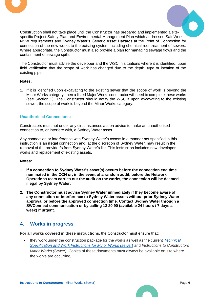



Construction shall not take place until the Constructor has prepared and implemented a sitespecific Project Safety Plan and Environmental Management Plan which addresses SafeWork NSW requirements and Sydney Water's Generic Asset Hazards at the Point of Connection for connection of the new works to the existing system including chemical root treatment of sewers. Where appropriate, the Constructor must also provide a plan for managing sewage flows and the containment of sewage spills.

The Constructor must advise the developer and the WSC in situations where it is identified, upon field verification that the scope of work has changed due to the depth, type or location of the existing pipe.

#### **Notes:**

**1.** If it is identified upon excavating to the existing sewer that the scope of work is beyond the Minor Works category, then a listed Major Works constructor will need to complete these works (see Section 1). The Constructor should notify the WSC if upon excavating to the existing sewer, the scope of work is beyond the Minor Works category.

#### **Unauthorised Connections:**

Constructors must not under any circumstances act on advice to make an unauthorised connection to, or interfere with, a Sydney Water asset.

Any connection or interference with Sydney Water's assets in a manner not specified in this instruction is an illegal connection and, at the discretion of Sydney Water, may result in the removal of the provider/s from Sydney Water's list. This instruction includes new developer works and replacement of existing assets.

#### **Notes:**

- **1. If a connection to Sydney Water's asset(s) occurs before the connection end time nominated in the CCN or, in the event of a random audit, before the Network Operations team carries out the audit on the works, the connection will be deemed illegal by Sydney Water.**
- **2. The Constructor must advise Sydney Water immediately if they become aware of any connection or interference to Sydney Water assets without prior Sydney Water approval or before the approved connection time. Contact Sydney Water through a SWConnect communication or by calling 13 20 90 (available 24 hours / 7 days a week) if urgent.**

## <span id="page-6-0"></span>**4. Works in progress**

**For all works covered in these instructions**, the Constructor must ensure that:

• they work under the construction package for the works as well as the current *[Technical](https://www.sydneywater.com.au/content/dam/sydneywater/documents/provider-information/standards-specifications/technical-requirements-and-work-instructions-for-minor-works-sewer.pdf)  [Specification and Work Instructions for Minor Works \(sewer\)](https://www.sydneywater.com.au/content/dam/sydneywater/documents/provider-information/standards-specifications/technical-requirements-and-work-instructions-for-minor-works-sewer.pdf)* and *Instructions to Constructors Minor Works (Sewer)*. Copies of these documents must always be available on site where the works are occurring*,*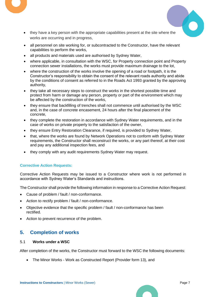

- they have a key person with the appropriate capabilities present at the site where the works are occurring and in progress,
- all personnel on site working for, or subcontracted to the Constructor, have the relevant capabilities to perform the works,
- all products and materials used are authorised by Sydney Water,
- where applicable, in consultation with the WSC, for Property connection point and Property connection sewer installations, the works must provide maximum drainage to the lot,
- where the construction of the works involve the opening of a road or footpath, it is the Constructor's responsibility to obtain the consent of the relevant roads authority and abide by the conditions of consent as referred to in the Roads Act 1993 granted by the approving authority,
- they take all necessary steps to construct the works in the shortest possible time and protect from harm or damage any person, property or part of the environment which may be affected by the construction of the works,
- they ensure that backfilling of trenches shall not commence until authorised by the WSC and, in the case of concrete encasement, 24 hours after the final placement of the concrete,
- they complete the restoration in accordance with Sydney Water requirements, and in the case of works on private property to the satisfaction of the owner,
- they ensure Entry Restoration Clearance, if required, is provided to Sydney Water,
- that, where the works are found by Network Operations not to conform with Sydney Water requirements, the Constructor shall reconstruct the works, or any part thereof, at their cost and pay any additional inspection fees, and
- they comply with any audit requirements Sydney Water may request.

#### **Corrective Action Requests:**

Corrective Action Requests may be issued to a Constructor where work is not performed in accordance with Sydney Water's Standards and instructions.

The Constructor shall provide the following information in response to a Corrective Action Request:

- Cause of problem / fault / non-conformance.
- Action to rectify problem / fault / non-conformance.
- Objective evidence that the specific problem / fault / non-conformance has been rectified.
- Action to prevent recurrence of the problem.

## <span id="page-7-0"></span>**5. Completion of works**

#### 5.1 **Works under a WSC**

After completion of the works, the Constructor must forward to the WSC the following documents:

• The Minor Works - Work as Constructed Report (Provider form 13), and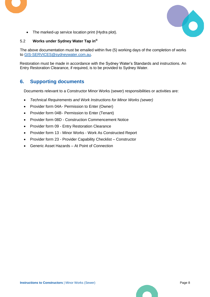

• The marked-up service location print (Hydra plot).

#### 5.2 **Works under Sydney Water Tap in®**

The above documentation must be emailed within five (5) working days of the completion of works to [GIS-SERVICES@sydneywater.com.au.](mailto:GIS-SERVICES@sydneywater.com.au)

Restoration must be made in accordance with the Sydney Water's Standards and instructions. An Entry Restoration Clearance, if required, is to be provided to Sydney Water.

## <span id="page-8-0"></span>**6. Supporting documents**

Documents relevant to a Constructor Minor Works (sewer) responsibilities or activities are:

- *Technical Requirements and Work Instructions for Minor Works (sewer)*
- Provider form 04A- Permission to Enter (Owner)
- Provider form 04B- Permission to Enter (Tenant)
- Provider form 08D Construction Commencement Notice
- Provider form 09 Entry Restoration Clearance
- Provider form 13 Minor Works Work As Constructed Report
- Provider form 23 Provider Capability Checklist Constructor
- Generic Asset Hazards At Point of Connection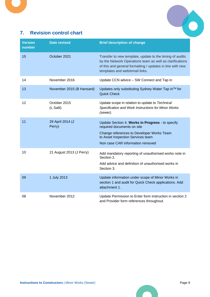

## <span id="page-9-0"></span>**7. Revision control chart**

| <b>Version</b><br>number | <b>Date revised</b>        | <b>Brief description of change</b>                                                                                                                                                                                  |
|--------------------------|----------------------------|---------------------------------------------------------------------------------------------------------------------------------------------------------------------------------------------------------------------|
| 15                       | October 2021               | Transfer to new template, update to the timing of audits<br>by the Network Operations team as well as clarifications<br>of this and general formatting / updates in line with new<br>templates and web/email links. |
| 14                       | November 2016              | Update CCN advice - SW Connect and Tap in                                                                                                                                                                           |
| 13                       | November 2015 (B Hansard)  | Updates only substituting Sydney Water Tap in™ for<br><b>Quick Check</b>                                                                                                                                            |
| 12                       | October 2015<br>(L Salli)  | Update scope in relation to update to Technical<br>Specification and Work Instructions for Minor Works<br>(sewer).                                                                                                  |
| 11                       | 29 April 2014 (J<br>Perry) | Update Section 4. Works in Progress - to specify<br>required documents on site<br>Change references to Developer Works Team<br>to Asset Inspection Services team<br>Non case CAR information removed                |
| 10                       | 21 August 2013 (J Perry)   | Add mandatory reporting of unauthorised works note in<br>Section 2.<br>Add advice and definition of unauthorised works in<br>Section 3.                                                                             |
| 09                       | 1 July 2013                | Update information under scope of Minor Works in<br>section 1 and audit for Quick Check applications. Add<br>attachment 1.                                                                                          |
| 08                       | November 2012              | Update Permission to Enter form instruction in section 2<br>and Provider form references throughout.                                                                                                                |

 $\blacksquare$